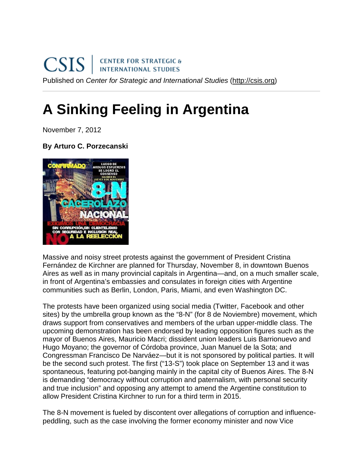## **A Sinking Feeling in Argentina**

November 7, 2012

## **By Arturo C. Porzecanski**



Massive and noisy street protests against the government of President Cristina Fernández de Kirchner are planned for Thursday, November 8, in downtown Buenos Aires as well as in many provincial capitals in Argentina—and, on a much smaller scale, in front of Argentina's embassies and consulates in foreign cities with Argentine communities such as Berlin, London, Paris, Miami, and even Washington DC.

The protests have been organized using social media (Twitter, Facebook and other sites) by the umbrella group known as the "8-N" (for 8 de Noviembre) movement, which draws support from conservatives and members of the urban upper-middle class. The upcoming demonstration has been endorsed by leading opposition figures such as the mayor of Buenos Aires, Mauricio Macri; dissident union leaders Luis Barrionuevo and Hugo Moyano; the governor of Córdoba province, Juan Manuel de la Sota; and Congressman Francisco De Narváez—but it is not sponsored by political parties. It will be the second such protest. The first ("13-S") took place on September 13 and it was spontaneous, featuring pot-banging mainly in the capital city of Buenos Aires. The 8-N is demanding "democracy without corruption and paternalism, with personal security and true inclusion" and opposing any attempt to amend the Argentine constitution to allow President Cristina Kirchner to run for a third term in 2015.

The 8-N movement is fueled by discontent over allegations of corruption and influencepeddling, such as the case involving the former economy minister and now Vice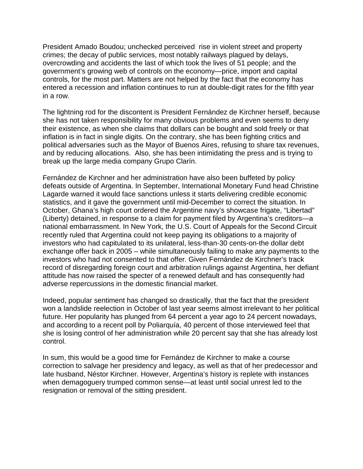President Amado Boudou; unchecked perceived rise in violent street and property crimes; the decay of public services, most notably railways plagued by delays, overcrowding and accidents the last of which took the lives of 51 people; and the government's growing web of controls on the economy—price, import and capital controls, for the most part. Matters are not helped by the fact that the economy has entered a recession and inflation continues to run at double-digit rates for the fifth year in a row.

The lightning rod for the discontent is President Fernández de Kirchner herself, because she has not taken responsibility for many obvious problems and even seems to deny their existence, as when she claims that dollars can be bought and sold freely or that inflation is in fact in single digits. On the contrary, she has been fighting critics and political adversaries such as the Mayor of Buenos Aires, refusing to share tax revenues, and by reducing allocations. Also, she has been intimidating the press and is trying to break up the large media company Grupo Clarín.

Fernández de Kirchner and her administration have also been buffeted by policy defeats outside of Argentina. In September, International Monetary Fund head Christine Lagarde warned it would face sanctions unless it starts delivering credible economic statistics, and it gave the government until mid-December to correct the situation. In October, Ghana's high court ordered the Argentine navy's showcase frigate, "Libertad" (Liberty) detained, in response to a claim for payment filed by Argentina's creditors—a national embarrassment. In New York, the U.S. Court of Appeals for the Second Circuit recently ruled that Argentina could not keep paying its obligations to a majority of investors who had capitulated to its unilateral, less-than-30 cents-on-the dollar debt exchange offer back in 2005 – while simultaneously failing to make any payments to the investors who had not consented to that offer. Given Fernández de Kirchner's track record of disregarding foreign court and arbitration rulings against Argentina, her defiant attitude has now raised the specter of a renewed default and has consequently had adverse repercussions in the domestic financial market.

Indeed, popular sentiment has changed so drastically, that the fact that the president won a landslide reelection in October of last year seems almost irrelevant to her political future. Her popularity has plunged from 64 percent a year ago to 24 percent nowadays, and according to a recent poll by Poliarquía, 40 percent of those interviewed feel that she is losing control of her administration while 20 percent say that she has already lost control.

In sum, this would be a good time for Fernández de Kirchner to make a course correction to salvage her presidency and legacy, as well as that of her predecessor and late husband, Néstor Kirchner. However, Argentina's history is replete with instances when demagoguery trumped common sense—at least until social unrest led to the resignation or removal of the sitting president.